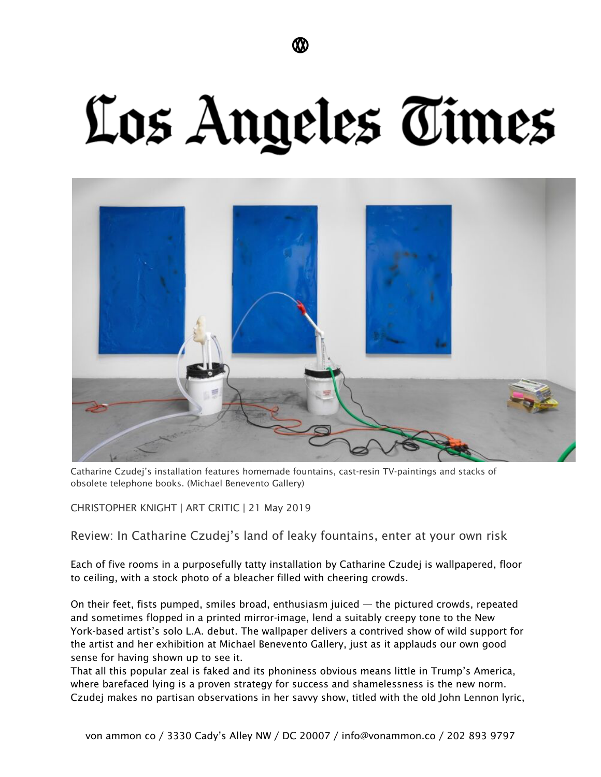## Los Angeles Times



Catharine Czudej's installation features homemade fountains, cast-resin TV-paintings and stacks of obsolete telephone books. (Michael Benevento Gallery)

CHRISTOPHER KNIGHT | ART CRITIC | 21 May 2019

Review: In Catharine Czudej's land of leaky fountains, enter at your own risk

Each of five rooms in a purposefully tatty installation by Catharine Czudej is wallpapered, floor to ceiling, with a stock photo of a bleacher filled with cheering crowds.

On their feet, fists pumped, smiles broad, enthusiasm juiced — the pictured crowds, repeated and sometimes flopped in a printed mirror-image, lend a suitably creepy tone to the New York-based artist's solo L.A. debut. The wallpaper delivers a contrived show of wild support for the artist and her exhibition at Michael Benevento Gallery, just as it applauds our own good sense for having shown up to see it.

That all this popular zeal is faked and its phoniness obvious means little in Trump's America, where barefaced lying is a proven strategy for success and shamelessness is the new norm. Czudej makes no partisan observations in her savvy show, titled with the old John Lennon lyric,